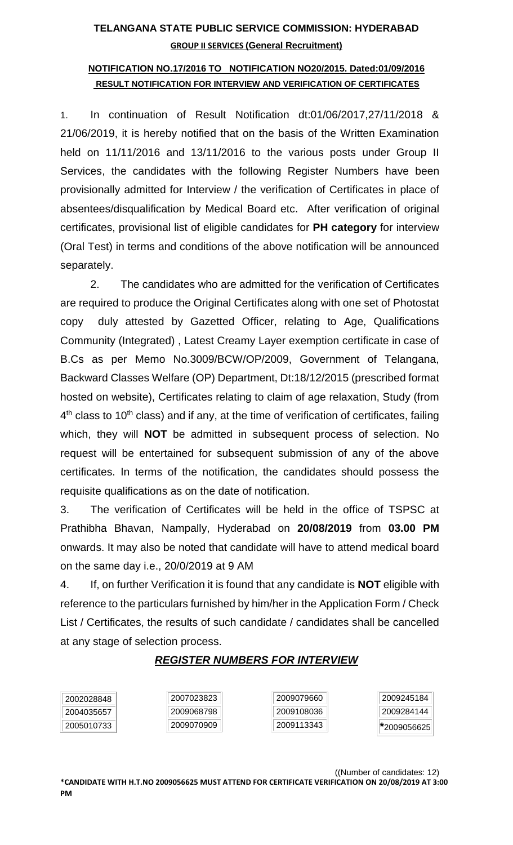## **TELANGANA STATE PUBLIC SERVICE COMMISSION: HYDERABAD GROUP II SERVICES (General Recruitment)**

## **NOTIFICATION NO.17/2016 TO NOTIFICATION NO20/2015. Dated:01/09/2016 RESULT NOTIFICATION FOR INTERVIEW AND VERIFICATION OF CERTIFICATES**

1. In continuation of Result Notification dt:01/06/2017,27/11/2018 & 21/06/2019, it is hereby notified that on the basis of the Written Examination held on 11/11/2016 and 13/11/2016 to the various posts under Group II Services, the candidates with the following Register Numbers have been provisionally admitted for Interview / the verification of Certificates in place of absentees/disqualification by Medical Board etc. After verification of original certificates, provisional list of eligible candidates for **PH category** for interview (Oral Test) in terms and conditions of the above notification will be announced separately.

2. The candidates who are admitted for the verification of Certificates are required to produce the Original Certificates along with one set of Photostat copy duly attested by Gazetted Officer, relating to Age, Qualifications Community (Integrated) , Latest Creamy Layer exemption certificate in case of B.Cs as per Memo No.3009/BCW/OP/2009, Government of Telangana, Backward Classes Welfare (OP) Department, Dt:18/12/2015 (prescribed format hosted on website), Certificates relating to claim of age relaxation, Study (from 4<sup>th</sup> class to 10<sup>th</sup> class) and if any, at the time of verification of certificates, failing which, they will **NOT** be admitted in subsequent process of selection. No request will be entertained for subsequent submission of any of the above certificates. In terms of the notification, the candidates should possess the requisite qualifications as on the date of notification.

3. The verification of Certificates will be held in the office of TSPSC at Prathibha Bhavan, Nampally, Hyderabad on **20/08/2019** from **03.00 PM** onwards. It may also be noted that candidate will have to attend medical board on the same day i.e., 20/0/2019 at 9 AM

4. If, on further Verification it is found that any candidate is **NOT** eligible with reference to the particulars furnished by him/her in the Application Form / Check List / Certificates, the results of such candidate / candidates shall be cancelled at any stage of selection process.

## *REGISTER NUMBERS FOR INTERVIEW*

| 2002028848 | 2007023823 | 2009079660 | 2009245184 |
|------------|------------|------------|------------|
| 2004035657 | 2009068798 | 2009108036 | 2009284144 |
| 2005010733 | 2009070909 | 2009113343 | 2009056625 |

((Number of candidates: 12)